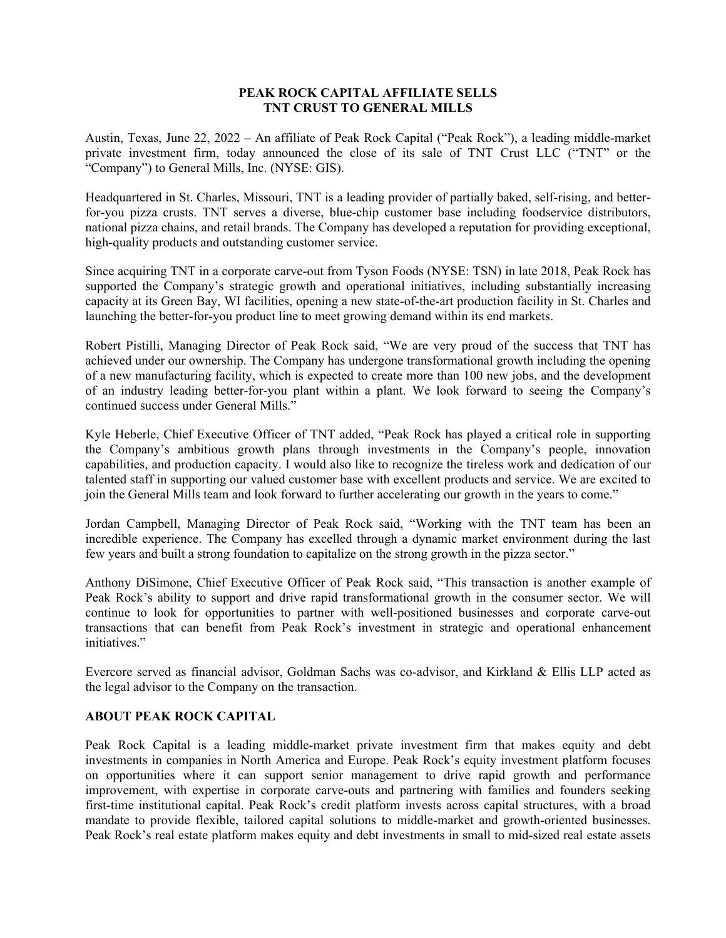## **PEAK ROCK CAPITAL AFFILIATE SELLS TNT CRUST TO GENERAL MILLS**

Austin, Texas, June 22, 2022 – An affiliate of Peak Rock Capital ("Peak Rock"), a leading middle-market private investment firm, today announced the close of its sale of TNT Crust LLC ("TNT" or the "Company") to General Mills, Inc. (NYSE: GIS).

Headquartered in St. Charles, Missouri, TNT is a leading provider of partially baked, self-rising, and betterfor-you pizza crusts. TNT serves a diverse, blue-chip customer base including foodservice distributors, national pizza chains, and retail brands. The Company has developed a reputation for providing exceptional, high-quality products and outstanding customer service.

Since acquiring TNT in a corporate carve-out from Tyson Foods (NYSE: TSN) in late 2018, Peak Rock has supported the Company's strategic growth and operational initiatives, including substantially increasing capacity at its Green Bay, WI facilities, opening a new state-of-the-art production facility in St. Charles and launching the better-for-you product line to meet growing demand within its end markets.

Robert Pistilli, Managing Director of Peak Rock said, "We are very proud of the success that TNT has achieved under our ownership. The Company has undergone transformational growth including the opening of a new manufacturing facility, which is expected to create more than 100 new jobs, and the development of an industry leading better-for-you plant within a plant. We look forward to seeing the Company's continued success under General Mills."

Kyle Heberle, Chief Executive Officer of TNT added, "Peak Rock has played a critical role in supporting the Company's ambitious growth plans through investments in the Company's people, innovation capabilities, and production capacity. I would also like to recognize the tireless work and dedication of our talented staff in supporting our valued customer base with excellent products and service. We are excited to join the General Mills team and look forward to further accelerating our growth in the years to come."

Jordan Campbell, Managing Director of Peak Rock said, "Working with the TNT team has been an incredible experience. The Company has excelled through a dynamic market environment during the last few years and built a strong foundation to capitalize on the strong growth in the pizza sector."

Anthony DiSimone, Chief Executive Officer of Peak Rock said, "This transaction is another example of Peak Rock's ability to support and drive rapid transformational growth in the consumer sector. We will continue to look for opportunities to partner with well-positioned businesses and corporate carve-out transactions that can benefit from Peak Rock's investment in strategic and operational enhancement initiatives."

Evercore served as financial advisor, Goldman Sachs was co-advisor, and Kirkland & Ellis LLP acted as the legal advisor to the Company on the transaction.

## **ABOUT PEAK ROCK CAPITAL**

Peak Rock Capital is a leading middle-market private investment firm that makes equity and debt investments in companies in North America and Europe. Peak Rock's equity investment platform focuses on opportunities where it can support senior management to drive rapid growth and performance improvement, with expertise in corporate carve-outs and partnering with families and founders seeking first-time institutional capital. Peak Rock's credit platform invests across capital structures, with a broad mandate to provide flexible, tailored capital solutions to middle-market and growth-oriented businesses. Peak Rock's real estate platform makes equity and debt investments in small to mid-sized real estate assets